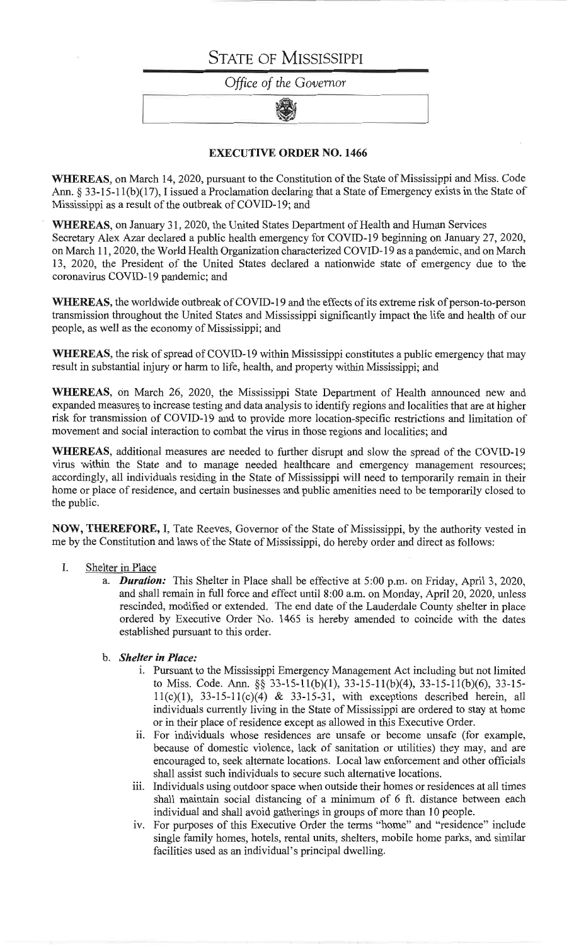# **STATE OF MISSISSIPPI**

Office of the Governor

### **EXECUTIVE ORDER NO. 1466**

WHEREAS, on March 14, 2020, pursuant to the Constitution of the State of Mississippi and Miss. Code Ann. § 33-15-11(b)(17), I issued a Proclamation declaring that a State of Emergency exists in the State of Mississippi as a result of the outbreak of COVID-19; and

WHEREAS, on January 31, 2020, the United States Department of Health and Human Services Secretary Alex Azar declared a public health emergency for COVID-19 beginning on January 27, 2020, on March 11, 2020, the World Health Organization characterized COVID-19 as a pandemic, and on March 13, 2020, the President of the United States declared a nationwide state of emergency due to the coronavirus COVID-19 pandemic; and

WHEREAS, the worldwide outbreak of COVID-19 and the effects of its extreme risk of person-to-person transmission throughout the United States and Mississippi significantly impact the life and health of our people, as well as the economy of Mississippi; and

WHEREAS, the risk of spread of COVID-19 within Mississippi constitutes a public emergency that may result in substantial injury or harm to life, health, and property within Mississippi; and

WHEREAS, on March 26, 2020, the Mississippi State Department of Health announced new and expanded measures to increase testing and data analysis to identify regions and localities that are at higher risk for transmission of COVID-19 and to provide more location-specific restrictions and limitation of movement and social interaction to combat the virus in those regions and localities; and

WHEREAS, additional measures are needed to further disrupt and slow the spread of the COVID-19 virus within the State and to manage needed healthcare and emergency management resources; accordingly, all individuals residing in the State of Mississippi will need to temporarily remain in their home or place of residence, and certain businesses and public amenities need to be temporarily closed to the public.

NOW, THEREFORE, I, Tate Reeves, Governor of the State of Mississippi, by the authority vested in me by the Constitution and laws of the State of Mississippi, do hereby order and direct as follows:

### I. Shelter in Place

- a. **Duration:** This Shelter in Place shall be effective at 5:00 p.m. on Friday, April 3, 2020, and shall remain in full force and effect until 8:00 a.m. on Monday, April 20, 2020, unless rescinded, modified or extended. The end date of the Lauderdale County shelter in place ordered by Executive Order No. 1465 is hereby amended to coincide with the dates established pursuant to this order.
- b. Shelter in Place:
	- i. Pursuant to the Mississippi Emergency Management Act including but not limited to Miss. Code. Ann. §§ 33-15-11(b)(1), 33-15-11(b)(4), 33-15-11(b)(6), 33-15- $11(c)(1)$ , 33-15-11(c)(4) & 33-15-31, with exceptions described herein, all individuals currently living in the State of Mississippi are ordered to stay at home or in their place of residence except as allowed in this Executive Order.
	- ii. For individuals whose residences are unsafe or become unsafe (for example, because of domestic violence, lack of sanitation or utilities) they may, and are encouraged to, seek alternate locations. Local law enforcement and other officials shall assist such individuals to secure such alternative locations.
	- iii. Individuals using outdoor space when outside their homes or residences at all times shall maintain social distancing of a minimum of 6 ft. distance between each individual and shall avoid gatherings in groups of more than 10 people.
	- iv. For purposes of this Executive Order the terms "home" and "residence" include single family homes, hotels, rental units, shelters, mobile home parks, and similar facilities used as an individual's principal dwelling.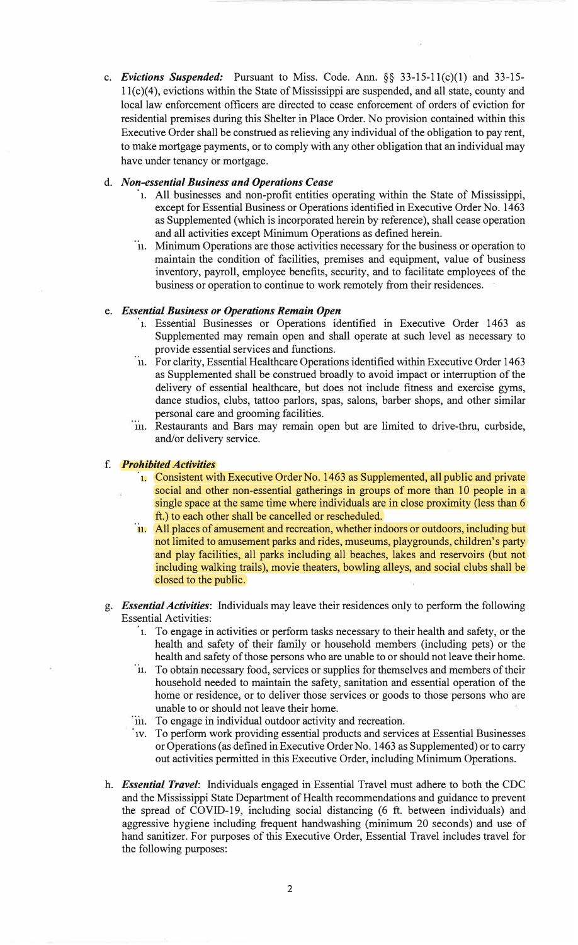c. *Evictions Suspended:* Pursuant to Miss. Code. Ann. §§ 33-15-1 l(c)(l) and 33-15- 11(c)(4), evictions within the State of Mississippi are suspended, and all state, county and local law enforcement officers are directed to cease enforcement of orders of eviction for residential premises during this Shelter in Place Order. No provision contained within this Executive Order shall be construed as relieving any individual of the obligation to pay rent, to make mortgage payments, or to comply with any other obligation that an individual may have under tenancy or mortgage.

### d. *Non-essential Business and Operations Cease*

- **1.** All businesses and non-profit entities operating within the State of Mississippi, except for Essential Business or Operations identified in Executive Order No. 1463 as Supplemented ( which is incorporated herein by reference), shall cease operation and all activities except Minimum Operations as defined herein.
- **11.** Minimum Operations are those activities necessary for the business or operation to maintain the condition of facilities, premises and equipment, value of business inventory, payroll, employee benefits, security, and to facilitate employees of the business or operation to continue to work remotely from their residences.

### e. *Essential Business or Operations Remain Open*

- 1. Essential Businesses or Operations identified in Executive Order 1463 as Supplemented may remain open and shall operate at such level as necessary to provide essential services and functions.
- **11.** For clarity, Essential Healthcare Operations identified within Executive Order 1463 as Supplemented shall be construed broadly to avoid impact or interruption of the delivery of essential healthcare, but does not include fitness and exercise gyms, dance studios, clubs, tattoo parlors, spas, salons, barber shops, and other similar personal care and grooming facilities.
- **111.** Restaurants and Bars may remain open but are limited to drive-thru, curbside, and/or delivery service.

## f. *Prohibited Activities*

- **1.** Consistent with Executive Order No. 1463 as Supplemented, all public and private social and other non-essential gatherings in groups of more than 10 people in a single space at the same time where individuals are in close proximity (less than 6) ft.) to each other shall be cancelled or rescheduled.
- **11.** All places of amusement and recreation, whether indoors or outdoors, including but not limited to amusement parks and rides, museums, playgrounds, children's party and play facilities, all parks including all beaches, lakes and reservoirs (but not including walking trails), movie theaters, bowling alleys, and social clubs shall be closed to the public.
- g. *Essential Activities:* Individuals may leave their residences only to perform the following Essential Activities:
	- **1.** To engage in activities or perform tasks necessary to their health and safety, or the health and safety of their family or household members (including pets) or the health and safety of those persons who are unable to or should not leave their home.
	- **11.** To obtain necessary food, services or supplies for themselves and members of their household needed to maintain the safety, sanitation and essential operation of the home or residence, or to deliver those services or goods to those persons who are unable to or should not leave their home.
	- **111.** To engage in individual outdoor activity and recreation.
	- 1v. To perform work providing essential products and services at Essential Businesses or Operations ( as defined in Executive Order No. 1463 as Supplemented) or to carry out activities permitted in this Executive Order, including Minimum Operations.
- h. *Essential Travel:* Individuals engaged in Essential Travel must adhere to both the CDC and the Mississippi State Department of Health recommendations and guidance to prevent the spread of COVID-19, including social distancing (6 ft. between individuals) and aggressive hygiene including frequent handwashing (minimum 20 seconds) and use of hand sanitizer. For purposes of this Executive Order, Essential Travel includes travel for the following purposes: